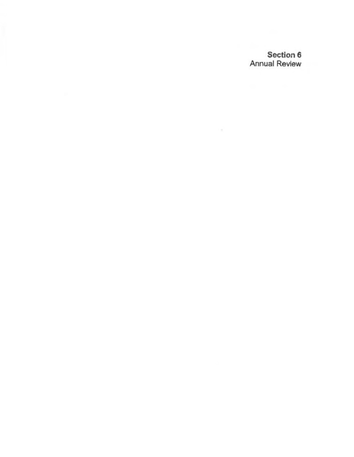Section 6 Annual Review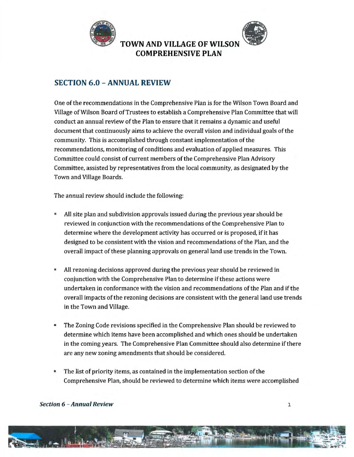

## **SECTION 6.0 - ANNUAL REVIEW**

One of the recommendations in the Comprehensive Plan is for the Wilson Town Board and Village of Wilson Board ofTrustees to establish a Comprehensive Plan Committee that will conduct an annual review of the Plan to ensure that it remains a dynamic and useful document that continuously aims to achieve the overall vision and individual goals of the community. This is accomplished through constant implementation of the recommendations, monitoring of conditions and evaluation of applied measures. This Committee could consist of current members of the Comprehensive Plan Advisory Committee, assisted by representatives from the local community, as designated by the Town and Village Boards.

The annual review should include the following:

- All site plan and subdivision approvals issued during the previous year should be reviewed in conjunction with the recommendations of the Comprehensive Plan to determine where the development activity has occurred or is proposed, if it has designed to be consistent with the vision and recommendations of the Plan, and the overall impact of these planning approvals on general land use trends in the Town.
- All rezoning decisions approved during the previous year should be reviewed in conjunction with the Comprehensive Plan to determine if these actions were undertaken in conformance with the vision and recommendations of the Plan and if the overall impacts of the rezoning decisions are consistent with the general land use trends in the Town and Village.
- The Zoning Code revisions specified in the Comprehensive Plan should be reviewed to determine which items have been accomplished and which ones should be undertaken in the coming years. The Comprehensive Plan Committee should also determine if there are any new zoning amendments that should be considered.
- The list of priority items, as contained in the implementation section of the Comprehensive Plan, should be reviewed to determine which items were accomplished

## *Section 6 - Annual Review* **1**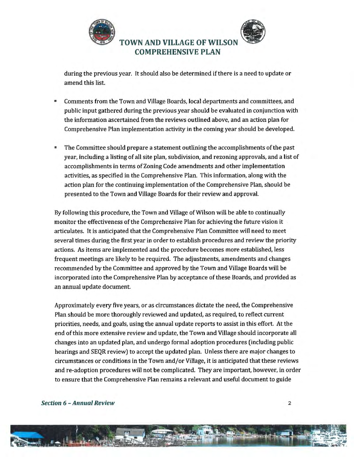

during the previous year. It should also be determined if there is a need to update or amend this list.

- Comments from the Town and Village Boards, local departments and committees, and public input gathered during the previous year should be evaluated in conjunction with the information ascertained from the reviews outlined above, and an action plan for Comprehensive Plan implementation activity in the coming year should be developed.
- The Committee should prepare a statement outlining the accomplishments of the past year, including a listing of all site plan, subdivision, and rezoning approvals, and a list of accomplishments in terms of Zoning Code amendments and other implementation activities, as specified in the Comprehensive Plan. This information, along with tbe action plan for the continuing implementation of the Comprehensive Plan, should be presented to the Town and Village Boards for their review and approval.

By following this procedure, the Town and Village of Wilson will be able to continually monitor the effectiveness of the Comprehensive Plan for achieving the future vision it articulates. It is anticipated that the Comprehensive Plan Committee will need to meet several times during the first year in order to establish procedures and review the priority actions. As items are implemented and the procedure becomes more established, less frequent meetings are likely to be required. The adjustments, amendments and changes recommended by the Committee and approved by the Town and Village Boards will be incorporated into the Comprehensive Plan by acceptance of these Boards, and provided as an annual update document

Approximately every five years, or as circumstances dictate the need, the Comprehensive Plan should be more thoroughly reviewed and updated, as required, to reflect current priorities, needs, and goals, using the annual update reports to assist in this effort. At the end of this more extensive review and update, the Town and Village should incorporate all changes into an updated plan, and undergo formal adoption procedures (including public hearings and SEQR review) to accept the updated plan. Unless there are major changes to circumstances or conditions in the Town and/or Village, it is anticipated that these reviews and re-adoption procedures will not be complicated. They are important, however, in order to ensure that the Comprehensive Plan remains a relevant and useful document to guide

## Section 6 - Annual Review 2